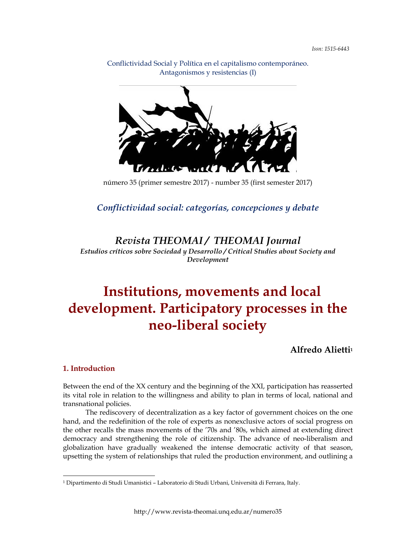Conflictividad Social y Política en el capitalismo contemporáneo. Antagonismos y resistencias (I)

número 35 (primer semestre 2017) - number 35 (first semester 2017)

*Conflictividad social: categorías, concepciones y debate*

*Revista THEOMAI / THEOMAI Journal*

*Estudios críticos sobre Sociedad y Desarrollo / Critical Studies about Society and Development*

# **Institutions, movements and local development. Participatory processes in the neo-liberal society**

**Alfredo Alietti1**

#### **1. Introduction**

Between the end of the XX century and the beginning of the XXI, participation has reasserted its vital role in relation to the willingness and ability to plan in terms of local, national and transnational policies.

The rediscovery of decentralization as a key factor of government choices on the one hand, and the redefinition of the role of experts as nonexclusive actors of social progress on the other recalls the mass movements of the '70s and '80s, which aimed at extending direct democracy and strengthening the role of citizenship. The advance of neo-liberalism and globalization have gradually weakened the intense democratic activity of that season, upsetting the system of relationships that ruled the production environment, and outlining a

<sup>1</sup> Dipartimento di Studi Umanistici – Laboratorio di Studi Urbani, Università di Ferrara, Italy.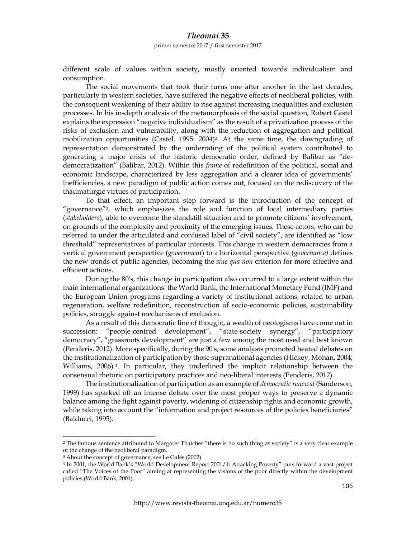primer semestre 2017 / first semester 2017

different scale of values within society, mostly oriented towards individualism and consumption.

The social movements that took their turns one after another in the last decades, particularly in western societies, have suffered the negative effects of neoliberal policies, with the consequent weakening of their ability to rise against increasing inequalities and exclusion processes. In his in-depth analysis of the metamorphosis of the social question, Robert Castel explains the expression "negative individualism" as the result of a privatization process of the risks of exclusion and vulnerability, along with the reduction of aggregation and political mobilization opportunities (Castel, 1995: 2004)2. At the same time, the downgrading of representation demonstrated by the underrating of the political system contributed to generating a major crisis of the historic democratic order, defined by Balibar as "dedemocratization" (Balibar, 2012). Within this *frame* of redefinition of the political, social and economic landscape, characterized by less aggregation and a clearer idea of governments' inefficiencies, a new paradigm of public action comes out, focused on the rediscovery of the thaumaturgic virtues of participation.

To that effect, an important step forward is the introduction of the concept of "governance"3, which emphasizes the role and function of local intermediary parties (*stakeholders*), able to overcome the standstill situation and to promote citizens' involvement, on grounds of the complexity and proximity of the emerging issues. These actors, who can be referred to under the articulated and confused label of "civil society", are identified as "low threshold" representatives of particular interests. This change in western democracies from a vertical government perspective (*government*) to a horizontal perspective (*governance)* defines the new trends of public agencies, becoming the *sine qua non* criterion for more effective and efficient actions.

During the 80's, this change in participation also occurred to a large extent within the main international organizations: the World Bank, the International Monetary Fund (IMF) and the European Union programs regarding a variety of institutional actions, related to urban regeneration, welfare redefinition, reconstruction of socio-economic policies, sustainability policies, struggle against mechanisms of exclusion.

As a result of this democratic line of thought, a wealth of neologisms have come out in succession: "people-centred development", "state-society synergy", "participatory democracy", "grassroots development" are just a few among the most used and best known (Penderis, 2012). More specifically, during the 90's, some analysts promoted heated debates on the institutionalization of participation by those supranational agencies (Hickey, Mohan, 2004; Williams, 2006).4. In particular, they underlined the implicit relationship between the consensual rhetoric on participatory practices and neo-liberal interests (Penderis, 2012).

The institutionalization of participation as an example of *democratic renewal* (Sanderson, 1999) has sparked off an intense debate over the most proper ways to preserve a dynamic balance among the fight against poverty, widening of citizenship rights and economic growth, while taking into account the "information and project resources of the policies beneficiaries" (Balducci, 1995).

<sup>2</sup> The famous sentence attributed to Margaret Thatcher "there is no such thing as society" is a very clear example of the change of the neoliberal paradigm.

<sup>3</sup> About the concept of governance, see Le Galés (2002).

<sup>4</sup> In 2001, the World Bank's "World Development Report 2001/1: Attacking Poverty" puts forward a vast project called "The Voices of the Poor" aiming at representing the visions of the poor directly within the development policies (World Bank, 2001).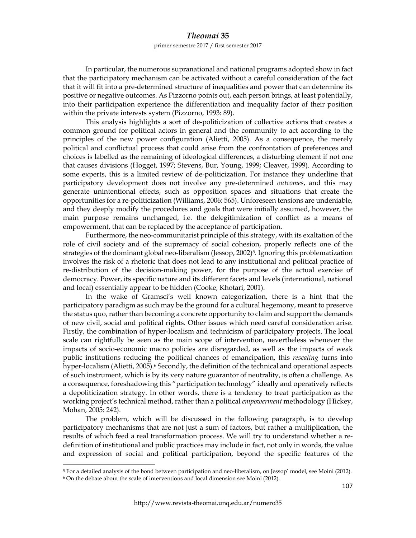#### primer semestre 2017 / first semester 2017

In particular, the numerous supranational and national programs adopted show in fact that the participatory mechanism can be activated without a careful consideration of the fact that it will fit into a pre-determined structure of inequalities and power that can determine its positive or negative outcomes. As Pizzorno points out, each person brings, at least potentially, into their participation experience the differentiation and inequality factor of their position within the private interests system (Pizzorno, 1993: 89).

This analysis highlights a sort of de-politicization of collective actions that creates a common ground for political actors in general and the community to act according to the principles of the new power configuration (Alietti, 2005). As a consequence, the merely political and conflictual process that could arise from the confrontation of preferences and choices is labelled as the remaining of ideological differences, a disturbing element if not one that causes divisions (Hogget, 1997; Stevens, Bur, Young, 1999; Cleaver, 1999). According to some experts, this is a limited review of de-politicization. For instance they underline that participatory development does not involve any pre-determined *outcomes*, and this may generate unintentional effects, such as opposition spaces and situations that create the opportunities for a re-politicization (Williams, 2006: 565). Unforeseen tensions are undeniable, and they deeply modify the procedures and goals that were initially assumed, however, the main purpose remains unchanged, i.e. the delegitimization of conflict as a means of empowerment, that can be replaced by the acceptance of participation.

Furthermore, the neo-communitarist principle of this strategy, with its exaltation of the role of civil society and of the supremacy of social cohesion, properly reflects one of the strategies of the dominant global neo-liberalism (Jessop, 2002)<sup>5</sup>. Ignoring this problematization involves the risk of a rhetoric that does not lead to any institutional and political practice of re-distribution of the decision-making power, for the purpose of the actual exercise of democracy. Power, its specific nature and its different facets and levels (international, national and local) essentially appear to be hidden (Cooke, Khotari, 2001).

In the wake of Gramsci's well known categorization, there is a hint that the participatory paradigm as such may be the ground for a cultural hegemony, meant to preserve the status quo, rather than becoming a concrete opportunity to claim and support the demands of new civil, social and political rights. Other issues which need careful consideration arise. Firstly, the combination of hyper-localism and technicism of participatory projects. The local scale can rightfully be seen as the main scope of intervention, nevertheless whenever the impacts of socio-economic macro policies are disregarded, as well as the impacts of weak public institutions reducing the political chances of emancipation, this *rescaling* turns into hyper-localism (Alietti, 2005).<sup>6</sup> Secondly, the definition of the technical and operational aspects of such instrument, which is by its very nature guarantor of neutrality, is often a challenge. As a consequence, foreshadowing this "participation technology" ideally and operatively reflects a depoliticization strategy. In other words, there is a tendency to treat participation as the working project's technical method, rather than a political *empowerment* methodology (Hickey, Mohan, 2005: 242).

The problem, which will be discussed in the following paragraph, is to develop participatory mechanisms that are not just a sum of factors, but rather a multiplication, the results of which feed a real transformation process. We will try to understand whether a redefinition of institutional and public practices may include in fact, not only in words, the value and expression of social and political participation, beyond the specific features of the

<sup>&</sup>lt;sup>5</sup> For a detailed analysis of the bond between participation and neo-liberalism, on Jessop' model, see Moini (2012).<br><sup>6</sup> On the debate about the scale of interventions and local dimension see Moini (2012).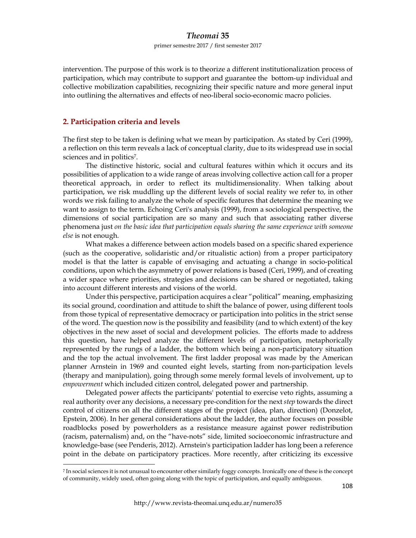#### primer semestre 2017 / first semester 2017

intervention. The purpose of this work is to theorize a different institutionalization process of participation, which may contribute to support and guarantee the bottom-up individual and collective mobilization capabilities, recognizing their specific nature and more general input into outlining the alternatives and effects of neo-liberal socio-economic macro policies.

#### **2. Participation criteria and levels**

The first step to be taken is defining what we mean by participation. As stated by Ceri (1999), a reflection on this term reveals a lack of conceptual clarity, due to its widespread use in social sciences and in politics7.

The distinctive historic, social and cultural features within which it occurs and its possibilities of application to a wide range of areas involving collective action call for a proper theoretical approach, in order to reflect its multidimensionality. When talking about participation, we risk muddling up the different levels of social reality we refer to, in other words we risk failing to analyze the whole of specific features that determine the meaning we want to assign to the term. Echoing Ceri's analysis (1999), from a sociological perspective, the dimensions of social participation are so many and such that associating rather diverse phenomena just *on the basic idea that participation equals sharing the same experience with someone else* is not enough.

What makes a difference between action models based on a specific shared experience (such as the cooperative, solidaristic and/or ritualistic action) from a proper participatory model is that the latter is capable of envisaging and actuating a change in socio-political conditions, upon which the asymmetry of power relations is based (Ceri, 1999), and of creating a wider space where priorities, strategies and decisions can be shared or negotiated, taking into account different interests and visions of the world.

Under this perspective, participation acquires a clear "political" meaning, emphasizing its social ground, coordination and attitude to shift the balance of power, using different tools from those typical of representative democracy or participation into politics in the strict sense of the word. The question now is the possibility and feasibility (and to which extent) of the key objectives in the new asset of social and development policies. The efforts made to address this question, have helped analyze the different levels of participation, metaphorically represented by the rungs of a ladder, the bottom which being a non-participatory situation and the top the actual involvement. The first ladder proposal was made by the American planner Arnstein in 1969 and counted eight levels, starting from non-participation levels (therapy and manipulation), going through some merely formal levels of involvement, up to *empowerment* which included citizen control, delegated power and partnership.

Delegated power affects the participants' potential to exercise veto rights, assuming a real authority over any decisions, a necessary pre-condition for the next *step* towards the direct control of citizens on all the different stages of the project (idea, plan, direction) (Donzelot, Epstein, 2006). In her general considerations about the ladder, the author focuses on possible roadblocks posed by powerholders as a resistance measure against power redistribution (racism, paternalism) and, on the "have-nots" side, limited socioeconomic infrastructure and knowledge-base (see Penderis, 2012). Arnstein's participation ladder has long been a reference point in the debate on participatory practices. More recently, after criticizing its excessive

<sup>7</sup> In social sciences it is not unusual to encounter other similarly foggy concepts. Ironically one of these is the concept of community, widely used, often going along with the topic of participation, and equally ambiguous.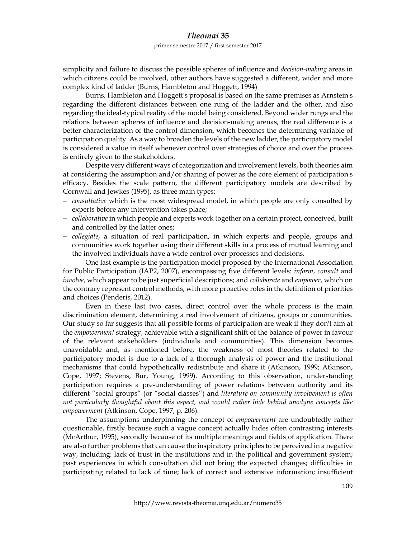#### primer semestre 2017 / first semester 2017

simplicity and failure to discuss the possible spheres of influence and *decision-making* areas in which citizens could be involved, other authors have suggested a different, wider and more complex kind of ladder (Burns, Hambleton and Hoggett, 1994)

Burns, Hambleton and Hoggett's proposal is based on the same premises as Arnstein's regarding the different distances between one rung of the ladder and the other, and also regarding the ideal-typical reality of the model being considered. Beyond wider rungs and the relations between spheres of influence and decision-making arenas, the real difference is a better characterization of the control dimension, which becomes the determining variable of participation quality. As a way to broaden the levels of the new ladder, the participatory model is considered a value in itself whenever control over strategies of choice and over the process is entirely given to the stakeholders.

Despite very different ways of categorization and involvement levels, both theories aim at considering the assumption and/or sharing of power as the core element of participation's efficacy. Besides the scale pattern, the different participatory models are described by Cornwall and Jewkes (1995), as three main types:

- *consultative* which is the most widespread model, in which people are only consulted by experts before any intervention takes place;
- *collaborative* in which people and experts work together on a certain project, conceived, built and controlled by the latter ones;
- *collegiate*, a situation of real participation, in which experts and people, groups and communities work together using their different skills in a process of mutual learning and the involved individuals have a wide control over processes and decisions.

One last example is the participation model proposed by the International Association for Public Participation (IAP2, 2007), encompassing five different levels: *inform*, *consult* and *involve*, which appear to be just superficial descriptions; and *collaborate* and *empower*, which on the contrary represent control methods, with more proactive roles in the definition of priorities and choices (Penderis, 2012).

Even in these last two cases, direct control over the whole process is the main discrimination element, determining a real involvement of citizens, groups or communities. Our study so far suggests that all possible forms of participation are weak if they don't aim at the *empowerment* strategy, achievable with a significant shift of the balance of power in favour of the relevant stakeholders (individuals and communities). This dimension becomes unavoidable and, as mentioned before, the weakness of most theories related to the participatory model is due to a lack of a thorough analysis of power and the institutional mechanisms that could hypothetically redistribute and share it (Atkinson, 1999; Atkinson, Cope, 1997; Stevens, Bur, Young, 1999). According to this observation, understanding participation requires a pre-understanding of power relations between authority and its different "social groups" (or "social classes") and *literature on community involvement is often not particularly thoughtful about this aspect, and would rather hide behind anodyne concepts like empowerment* (Atkinson, Cope, 1997, p. 206)*.*

The assumptions underpinning the concept of *empowerment* are undoubtedly rather questionable, firstly because such a vague concept actually hides often contrasting interests (McArthur, 1995), secondly because of its multiple meanings and fields of application. There are also further problems that can cause the inspiratory principles to be perceived in a negative way, including: lack of trust in the institutions and in the political and government system; past experiences in which consultation did not bring the expected changes; difficulties in participating related to lack of time; lack of correct and extensive information; insufficient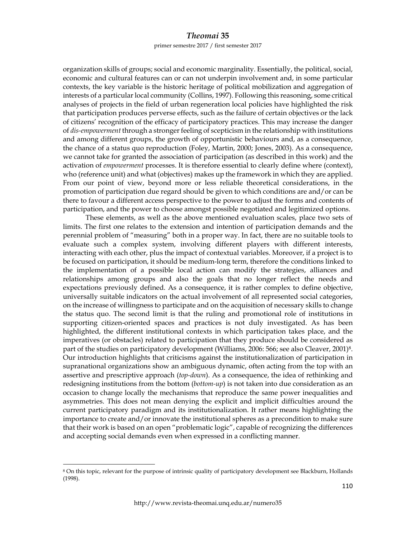primer semestre 2017 / first semester 2017

organization skills of groups; social and economic marginality. Essentially, the political, social, economic and cultural features can or can not underpin involvement and, in some particular contexts, the key variable is the historic heritage of political mobilization and aggregation of interests of a particular local community (Collins, 1997). Following this reasoning, some critical analyses of projects in the field of urban regeneration local policies have highlighted the risk that participation produces perverse effects, such as the failure of certain objectives or the lack of citizens' recognition of the efficacy of participatory practices. This may increase the danger of *dis-empowerment* through a stronger feeling of scepticism in the relationship with institutions and among different groups, the growth of opportunistic behaviours and, as a consequence, the chance of a status quo reproduction (Foley, Martin, 2000; Jones, 2003). As a consequence, we cannot take for granted the association of participation (as described in this work) and the activation of *empowerment* processes. It is therefore essential to clearly define where (context), who (reference unit) and what (objectives) makes up the framework in which they are applied. From our point of view, beyond more or less reliable theoretical considerations, in the promotion of participation due regard should be given to which conditions are and/or can be there to favour a different access perspective to the power to adjust the forms and contents of participation, and the power to choose amongst possible negotiated and legitimized options.

These elements, as well as the above mentioned evaluation scales, place two sets of limits. The first one relates to the extension and intention of participation demands and the perennial problem of "measuring" both in a proper way. In fact, there are no suitable tools to evaluate such a complex system, involving different players with different interests, interacting with each other, plus the impact of contextual variables. Moreover, if a project is to be focused on participation, it should be medium-long term, therefore the conditions linked to the implementation of a possible local action can modify the strategies, alliances and relationships among groups and also the goals that no longer reflect the needs and expectations previously defined. As a consequence, it is rather complex to define objective, universally suitable indicators on the actual involvement of all represented social categories, on the increase of willingness to participate and on the acquisition of necessary skills to change the status quo. The second limit is that the ruling and promotional role of institutions in supporting citizen-oriented spaces and practices is not duly investigated. As has been highlighted, the different institutional contexts in which participation takes place, and the imperatives (or obstacles) related to participation that they produce should be considered as part of the studies on participatory development (Williams, 2006: 566; see also Cleaver, 2001)8. Our introduction highlights that criticisms against the institutionalization of participation in supranational organizations show an ambiguous dynamic, often acting from the top with an assertive and prescriptive approach (*top-down*). As a consequence, the idea of rethinking and redesigning institutions from the bottom (*bottom-up*) is not taken into due consideration as an occasion to change locally the mechanisms that reproduce the same power inequalities and asymmetries. This does not mean denying the explicit and implicit difficulties around the current participatory paradigm and its institutionalization. It rather means highlighting the importance to create and/or innovate the institutional spheres as a precondition to make sure that their work is based on an open "problematic logic", capable of recognizing the differences and accepting social demands even when expressed in a conflicting manner.

<sup>8</sup> On this topic, relevant for the purpose of intrinsic quality of participatory development see Blackburn, Hollands (1998).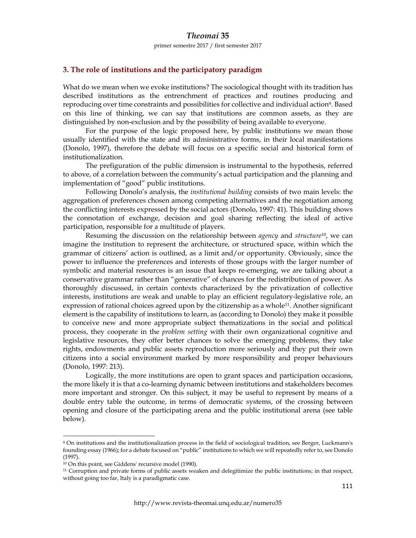primer semestre 2017 / first semester 2017

#### **3. The role of institutions and the participatory paradigm**

What do we mean when we evoke institutions? The sociological thought with its tradition has described institutions as the entrenchment of practices and routines producing and reproducing over time constraints and possibilities for collective and individual action9. Based on this line of thinking, we can say that institutions are common assets, as they are distinguished by non-exclusion and by the possibility of being available to everyone.

For the purpose of the logic proposed here, by public institutions we mean those usually identified with the state and its administrative forms, in their local manifestations (Donolo, 1997), therefore the debate will focus on a specific social and historical form of institutionalization.

The prefiguration of the public dimension is instrumental to the hypothesis, referred to above, of a correlation between the community's actual participation and the planning and implementation of "good" public institutions.

Following Donolo's analysis, the *institutional building* consists of two main levels: the aggregation of preferences chosen among competing alternatives and the negotiation among the conflicting interests expressed by the social actors (Donolo, 1997: 41). This building shows the connotation of exchange, decision and goal sharing reflecting the ideal of active participation, responsible for a multitude of players.

Resuming the discussion on the relationship between *agency* and *structure*10, we can imagine the institution to represent the architecture, or structured space, within which the grammar of citizens' action is outlined, as a limit and/or opportunity. Obviously, since the power to influence the preferences and interests of those groups with the larger number of symbolic and material resources is an issue that keeps re-emerging, we are talking about a conservative grammar rather than "generative" of chances for the redistribution of power. As thoroughly discussed, in certain contexts characterized by the privatization of collective interests, institutions are weak and unable to play an efficient regulatory-legislative role, an expression of rational choices agreed upon by the citizenship as a whole11. Another significant element is the capability of institutions to learn, as (according to Donolo) they make it possible to conceive new and more appropriate subject thematizations in the social and political process, they cooperate in the *problem setting* with their own organizational cognitive and legislative resources, they offer better chances to solve the emerging problems, they take rights, endowments and public assets reproduction more seriously and they put their own citizens into a social environment marked by more responsibility and proper behaviours (Donolo, 1997: 213).

Logically, the more institutions are open to grant spaces and participation occasions, the more likely it is that a co-learning dynamic between institutions and stakeholders becomes more important and stronger. On this subject, it may be useful to represent by means of a double entry table the outcome, in terms of democratic systems, of the crossing between opening and closure of the participating arena and the public institutional arena (see table below).

<sup>9</sup> On institutions and the institutionalization process in the field of sociological tradition, see Berger, Luckmann's founding essay (1966); for a debate focused on "public" institutions to which we will repeatedly refer to, see Donolo (1997).

<sup>10</sup> On this point, see Giddens' recursive model (1990).

<sup>11</sup> Corruption and private forms of public assets weaken and delegitimize the public institutions; in that respect, without going too far, Italy is a paradigmatic case.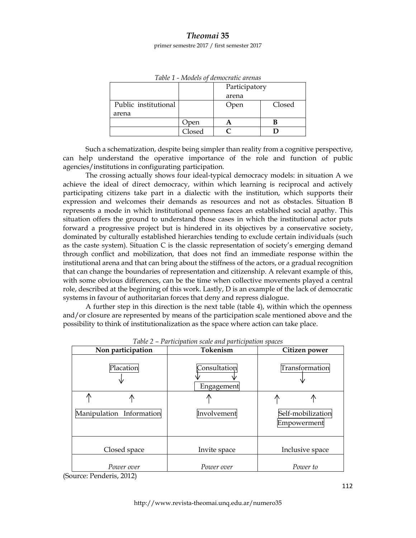primer semestre 2017 / first semester 2017

|                      |        | Participatory |        |
|----------------------|--------|---------------|--------|
|                      |        | arena         |        |
| Public institutional |        | Open          | Closed |
| arena                |        |               |        |
|                      | Jpen   |               |        |
|                      | Closed |               |        |

*Table 1 - Models of democratic arenas* 

Such a schematization, despite being simpler than reality from a cognitive perspective, can help understand the operative importance of the role and function of public agencies/institutions in configurating participation.

The crossing actually shows four ideal-typical democracy models: in situation A we achieve the ideal of direct democracy, within which learning is reciprocal and actively participating citizens take part in a dialectic with the institution, which supports their expression and welcomes their demands as resources and not as obstacles. Situation B represents a mode in which institutional openness faces an established social apathy. This situation offers the ground to understand those cases in which the institutional actor puts forward a progressive project but is hindered in its objectives by a conservative society, dominated by culturally established hierarchies tending to exclude certain individuals (such as the caste system). Situation  $C$  is the classic representation of society's emerging demand through conflict and mobilization, that does not find an immediate response within the institutional arena and that can bring about the stiffness of the actors, or a gradual recognition that can change the boundaries of representation and citizenship. A relevant example of this, with some obvious differences, can be the time when collective movements played a central role, described at the beginning of this work. Lastly, D is an example of the lack of democratic systems in favour of authoritarian forces that deny and repress dialogue.

A further step in this direction is the next table (table 4), within which the openness and/or closure are represented by means of the participation scale mentioned above and the possibility to think of institutionalization as the space where action can take place.

| Non participation                                                          | Tokenism                   | Citizen power                    |  |
|----------------------------------------------------------------------------|----------------------------|----------------------------------|--|
| Placation                                                                  | Consultation<br>Engagement | Transformation                   |  |
| ∕Ւ                                                                         |                            | ∕Ւ<br>Æ                          |  |
| Manipulation Information                                                   | Involvement                | Self-mobilization<br>Empowerment |  |
| Closed space                                                               | Invite space               | Inclusive space                  |  |
| Power over<br>$\mathbf{D} = \mathbf{1} + \mathbf{A} \mathbf{A} \mathbf{A}$ | Power over                 | Power to                         |  |

*Table 2 – Participation scale and participation spaces* 

<sup>(</sup>Source: Penderis, 2012)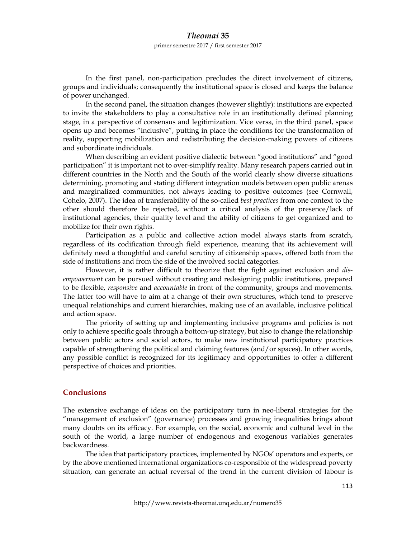primer semestre 2017 / first semester 2017

In the first panel, non-participation precludes the direct involvement of citizens, groups and individuals; consequently the institutional space is closed and keeps the balance of power unchanged.

In the second panel, the situation changes (however slightly): institutions are expected to invite the stakeholders to play a consultative role in an institutionally defined planning stage, in a perspective of consensus and legitimization. Vice versa, in the third panel, space opens up and becomes "inclusive", putting in place the conditions for the transformation of reality, supporting mobilization and redistributing the decision-making powers of citizens and subordinate individuals.

When describing an evident positive dialectic between "good institutions" and "good participation" it is important not to over-simplify reality. Many research papers carried out in different countries in the North and the South of the world clearly show diverse situations determining, promoting and stating different integration models between open public arenas and marginalized communities, not always leading to positive outcomes (see Cornwall, Cohelo, 2007). The idea of transferability of the so-called *best practices* from one context to the other should therefore be rejected, without a critical analysis of the presence/lack of institutional agencies, their quality level and the ability of citizens to get organized and to mobilize for their own rights.

Participation as a public and collective action model always starts from scratch, regardless of its codification through field experience, meaning that its achievement will definitely need a thoughtful and careful scrutiny of citizenship spaces, offered both from the side of institutions and from the side of the involved social categories.

However, it is rather difficult to theorize that the fight against exclusion and *disempowerment* can be pursued without creating and redesigning public institutions, prepared to be flexible, *responsive* and *accountable* in front of the community, groups and movements. The latter too will have to aim at a change of their own structures, which tend to preserve unequal relationships and current hierarchies, making use of an available, inclusive political and action space.

The priority of setting up and implementing inclusive programs and policies is not only to achieve specific goals through a bottom-up strategy, but also to change the relationship between public actors and social actors, to make new institutional participatory practices capable of strengthening the political and claiming features (and/or spaces). In other words, any possible conflict is recognized for its legitimacy and opportunities to offer a different perspective of choices and priorities.

#### **Conclusions**

The extensive exchange of ideas on the participatory turn in neo-liberal strategies for the "management of exclusion" (governance) processes and growing inequalities brings about many doubts on its efficacy. For example, on the social, economic and cultural level in the south of the world, a large number of endogenous and exogenous variables generates backwardness.

The idea that participatory practices, implemented by NGOs' operators and experts, or by the above mentioned international organizations co-responsible of the widespread poverty situation, can generate an actual reversal of the trend in the current division of labour is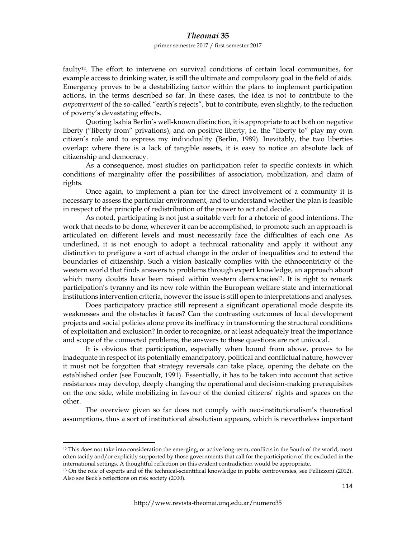#### primer semestre 2017 / first semester 2017

faulty12. The effort to intervene on survival conditions of certain local communities, for example access to drinking water, is still the ultimate and compulsory goal in the field of aids. Emergency proves to be a destabilizing factor within the plans to implement participation actions, in the terms described so far. In these cases, the idea is not to contribute to the *empowerment* of the so-called "earth's rejects", but to contribute, even slightly, to the reduction of poverty's devastating effects.

Quoting Isahia Berlin's well-known distinction, it is appropriate to act both on negative liberty ("liberty from" privations), and on positive liberty, i.e. the "liberty to" play my own citizen's role and to express my individuality (Berlin, 1989). Inevitably, the two liberties overlap: where there is a lack of tangible assets, it is easy to notice an absolute lack of citizenship and democracy.

As a consequence, most studies on participation refer to specific contexts in which conditions of marginality offer the possibilities of association, mobilization, and claim of rights.

Once again, to implement a plan for the direct involvement of a community it is necessary to assess the particular environment, and to understand whether the plan is feasible in respect of the principle of redistribution of the power to act and decide.

As noted, participating is not just a suitable verb for a rhetoric of good intentions. The work that needs to be done, wherever it can be accomplished, to promote such an approach is articulated on different levels and must necessarily face the difficulties of each one. As underlined, it is not enough to adopt a technical rationality and apply it without any distinction to prefigure a sort of actual change in the order of inequalities and to extend the boundaries of citizenship. Such a vision basically complies with the ethnocentricity of the western world that finds answers to problems through expert knowledge, an approach about which many doubts have been raised within western democracies<sup>13</sup>. It is right to remark participation's tyranny and its new role within the European welfare state and international institutions intervention criteria, however the issue is still open to interpretations and analyses.

Does participatory practice still represent a significant operational mode despite its weaknesses and the obstacles it faces? Can the contrasting outcomes of local development projects and social policies alone prove its inefficacy in transforming the structural conditions of exploitation and exclusion? In order to recognize, or at least adequately treat the importance and scope of the connected problems, the answers to these questions are not univocal.

It is obvious that participation, especially when bound from above, proves to be inadequate in respect of its potentially emancipatory, political and conflictual nature, however it must not be forgotten that strategy reversals can take place, opening the debate on the established order (see Foucault, 1991). Essentially, it has to be taken into account that active resistances may develop, deeply changing the operational and decision-making prerequisites on the one side, while mobilizing in favour of the denied citizens' rights and spaces on the other.

The overview given so far does not comply with neo-institutionalism's theoretical assumptions, thus a sort of institutional absolutism appears, which is nevertheless important

<sup>&</sup>lt;sup>12</sup> This does not take into consideration the emerging, or active long-term, conflicts in the South of the world, most often tacitly and/or explicitly supported by those governments that call for the participation of the excluded in the international settings. A thoughtful reflection on this evident contradiction would be appropriate.

<sup>13</sup> On the role of experts and of the technical-scientifical knowledge in public controversies, see Pellizzoni (2012). Also see Beck's reflections on risk society (2000).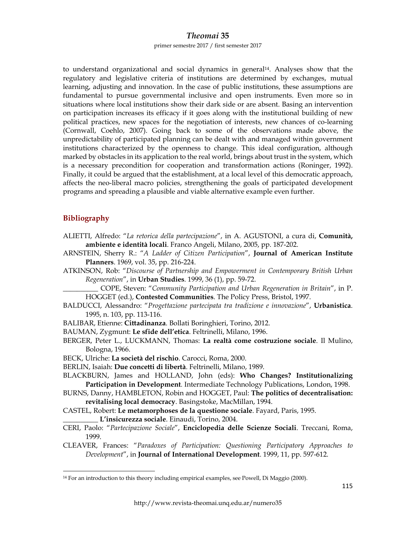primer semestre 2017 / first semester 2017

to understand organizational and social dynamics in general14. Analyses show that the regulatory and legislative criteria of institutions are determined by exchanges, mutual learning, adjusting and innovation. In the case of public institutions, these assumptions are fundamental to pursue governmental inclusive and open instruments. Even more so in situations where local institutions show their dark side or are absent. Basing an intervention on participation increases its efficacy if it goes along with the institutional building of new political practices, new spaces for the negotiation of interests, new chances of co-learning (Cornwall, Coehlo, 2007). Going back to some of the observations made above, the unpredictability of participated planning can be dealt with and managed within government institutions characterized by the openness to change. This ideal configuration, although marked by obstacles in its application to the real world, brings about trust in the system, which is a necessary precondition for cooperation and transformation actions (Roninger, 1992). Finally, it could be argued that the establishment, at a local level of this democratic approach, affects the neo-liberal macro policies, strengthening the goals of participated development programs and spreading a plausible and viable alternative example even further.

#### **Bibliography**

- ALIETTI, Alfredo: "*La retorica della partecipazione*", in A. AGUSTONI, a cura di, **Comunità, ambiente e identità locali**. Franco Angeli, Milano, 2005, pp. 187-202.
- ARNSTEIN, Sherry R.: "*A Ladder of Citizen Participation*", **Journal of American Institute Planners**. 1969, vol. 35, pp. 216-224.
- ATKINSON, Rob: "*Discourse of Partnership and Empowerment in Contemporary British Urban Regeneration*", in **Urban Studies**. 1999, 36 (1), pp. 59-72.
	- \_\_\_\_\_\_\_\_\_\_ COPE, Steven: "*Community Participation and Urban Regeneration in Britain*", in P. HOGGET (ed.), **Contested Communities**. The Policy Press, Bristol, 1997.
- BALDUCCI, Alessandro: "*Progettazione partecipata tra tradizione e innovazione*", **Urbanistica**. 1995, n. 103, pp. 113-116.
- BALIBAR, Etienne: **Cittadinanza**. Bollati Boringhieri, Torino, 2012.
- BAUMAN, Zygmunt: **Le sfide dell'etica**. Feltrinelli, Milano, 1996.
- BERGER, Peter L., LUCKMANN, Thomas: **La realtà come costruzione sociale**. Il Mulino, Bologna, 1966.
- BECK, Ulriche: **La società del rischio**. Carocci, Roma, 2000.
- BERLIN, Isaiah: **Due concetti di libertà**. Feltrinelli, Milano, 1989.
- BLACKBURN, James and HOLLAND, John (eds): **Who Changes? Institutionalizing Participation in Development***.* Intermediate Technology Publications, London, 1998.
- BURNS, Danny, HAMBLETON, Robin and HOGGET, Paul: **The politics of decentralisation: revitalising local democracy**. Basingstoke, MacMillan, 1994.
- CASTEL, Robert: **Le metamorphoses de la questione sociale**. Fayard, Paris, 1995.
	- \_\_\_\_\_\_\_\_\_\_ **L'insicurezza sociale**. Einaudi, Torino, 2004.

- CERI, Paolo: "*Partecipazione Sociale*", **Enciclopedia delle Scienze Sociali**. Treccani, Roma, 1999.
- CLEAVER, Frances: "*Paradoxes of Participation: Questioning Participatory Approaches to Development*", in **Journal of International Development**. 1999, 11, pp. 597-612.

<sup>14</sup> For an introduction to this theory including empirical examples, see Powell, Di Maggio (2000).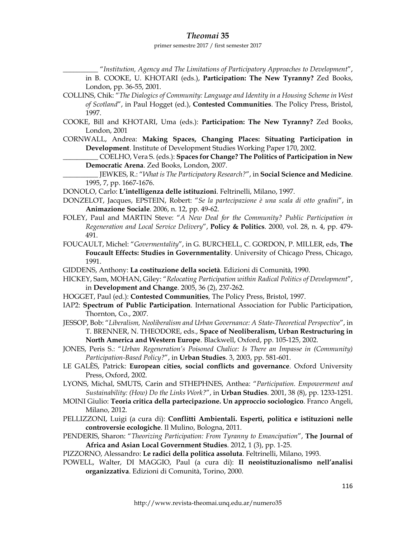#### primer semestre 2017 / first semester 2017

\_\_\_\_\_\_\_\_\_\_ "*Institution, Agency and The Limitations of Participatory Approaches to Development*", in B. COOKE, U. KHOTARI (eds.), **Participation: The New Tyranny?** Zed Books, London, pp. 36-55, 2001.

- COLLINS, Chik: "*The Dialogics of Community: Language and Identity in a Housing Scheme in West of Scotland*", in Paul Hogget (ed.), **Contested Communities**. The Policy Press, Bristol, 1997.
- COOKE, Bill and KHOTARI, Uma (eds.): **Participation: The New Tyranny?** Zed Books, London, 2001
- CORNWALL, Andrea: **Making Spaces, Changing Places: Situating Participation in Development**. Institute of Development Studies Working Paper 170, 2002.
	- \_\_\_\_\_\_\_\_\_\_ COELHO, Vera S. (eds.): **Spaces for Change? The Politics of Participation in New Democratic Arena**. Zed Books, London, 2007.

\_\_\_\_\_\_\_\_\_\_ JEWKES, R.: "*What is The Participatory Research?*", in **Social Science and Medicine**. 1995, 7, pp. 1667-1676.

- DONOLO, Carlo: **L'intelligenza delle istituzioni**. Feltrinelli, Milano, 1997.
- DONZELOT, Jacques, EPSTEIN, Robert: "*Se la partecipazione è una scala di otto gradini*", in **Animazione Sociale**. 2006, n. 12, pp. 49-62.
- FOLEY, Paul and MARTIN Steve: "*A New Deal for the Community? Public Participation in Regeneration and Local Service Delivery*", **Policy & Politics**. 2000, vol. 28, n. 4, pp. 479- 491.
- FOUCAULT, Michel: "*Govermentality*", in G. BURCHELL, C. GORDON, P. MILLER, eds, **The Foucault Effects: Studies in Governmentality**. University of Chicago Press, Chicago, 1991.
- GIDDENS, Anthony: **La costituzione della società**. Edizioni di Comunità, 1990.
- HICKEY, Sam, MOHAN, Giley: "*Relocating Participation within Radical Politics of Development*", in **Development and Change**. 2005, 36 (2), 237-262.
- HOGGET, Paul (ed.): **Contested Communities**, The Policy Press, Bristol, 1997.
- IAP2: **Spectrum of Public Participation**. International Association for Public Participation, Thornton, Co., 2007.
- JESSOP, Bob: "*Liberalism, Neoliberalism and Urban Governance: A State-Theoretical Perspective*", in T. BRENNER, N. THEODORE, eds., **Space of Neoliberalism, Urban Restructuring in North America and Western Europe**. Blackwell, Oxford, pp. 105-125, 2002.
- JONES, Peris S.: "*Urban Regeneration's Poisoned Chalice: Is There an Impasse in (Community) Participation-Based Policy?*", in **Urban Studies**. 3, 2003, pp. 581-601.
- LE GALÈS, Patrick: **European cities, social conflicts and governance**. Oxford University Press, Oxford, 2002.
- LYONS, Michal, SMUTS, Carin and STHEPHNES, Anthea: "*Participation. Empowerment and Sustainability: (How) Do the Links Work?*", in **Urban Studies**. 2001, 38 (8), pp. 1233-1251.
- MOINI Giulio: **Teoria critica della partecipazione. Un approccio sociologico**. Franco Angeli, Milano, 2012.
- PELLIZZONI, Luigi (a cura di): **Conflitti Ambientali. Esperti, politica e istituzioni nelle controversie ecologiche**. Il Mulino, Bologna, 2011.
- PENDERIS, Sharon: "*Theorizing Participation: From Tyranny to Emancipation*", **The Journal of Africa and Asian Local Government Studies**. 2012, 1 (3), pp. 1-25.
- PIZZORNO, Alessandro: **Le radici della politica assoluta**. Feltrinelli, Milano, 1993.
- POWELL, Walter, DI MAGGIO, Paul (a cura di): **Il neoistituzionalismo nell'analisi organizzativa**. Edizioni di Comunità, Torino, 2000.